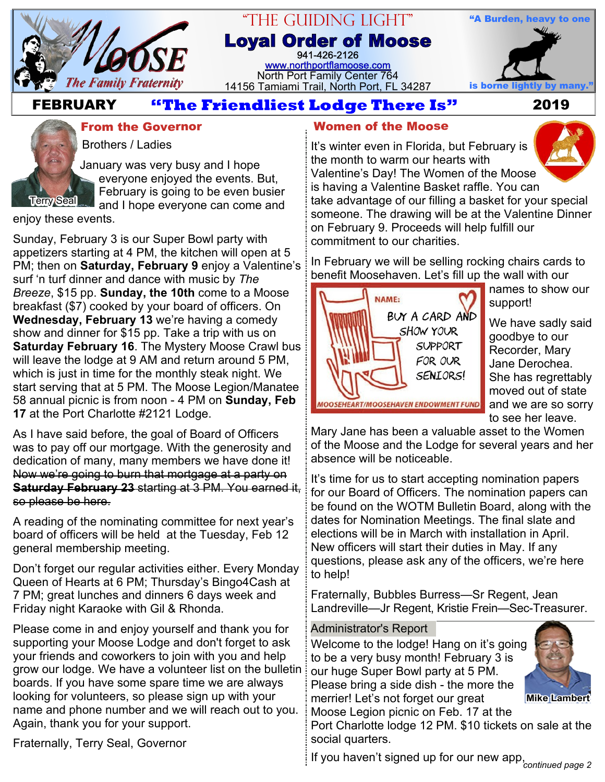

## "The Guiding Light" **Loyal Order of Moose** 941-426-2126

[www.northportflamoose.com](http://www.northportflamoose.com) North Port Family Center 764 14156 Tamiami Trail, North Port, FL 34287 is borne light



 **FEBRUARY 2019**



# **From the Governor Women of the Moose**

Brothers / Ladies

January was very busy and I hope everyone enjoyed the events. But, February is going to be even busier and I hope everyone can come and

enjoy these events.

Sunday, February 3 is our Super Bowl party with appetizers starting at 4 PM, the kitchen will open at 5 PM; then on **Saturday, February 9** enjoy a Valentine's surf 'n turf dinner and dance with music by *The Breeze*, \$15 pp. **Sunday, the 10th** come to a Moose breakfast (\$7) cooked by your board of officers. On **Wednesday, February 13** we're having a comedy show and dinner for \$15 pp. Take a trip with us on **Saturday February 16**. The Mystery Moose Crawl bus will leave the lodge at 9 AM and return around 5 PM, which is just in time for the monthly steak night. We start serving that at 5 PM. The Moose Legion/Manatee 58 annual picnic is from noon - 4 PM on **Sunday, Feb 17** at the Port Charlotte #2121 Lodge.

As I have said before, the goal of Board of Officers was to pay off our mortgage. With the generosity and dedication of many, many members we have done it! Now we're going to burn that mortgage at a party on **Saturday February 23** starting at 3 PM. You earned it, so please be here.

A reading of the nominating committee for next year's board of officers will be held at the Tuesday, Feb 12 general membership meeting.

Don't forget our regular activities either. Every Monday Queen of Hearts at 6 PM; Thursday's Bingo4Cash at 7 PM; great lunches and dinners 6 days week and Friday night Karaoke with Gil & Rhonda.

Please come in and enjoy yourself and thank you for supporting your Moose Lodge and don't forget to ask your friends and coworkers to join with you and help grow our lodge. We have a volunteer list on the bulletin boards. If you have some spare time we are always looking for volunteers, so please sign up with your name and phone number and we will reach out to you. Again, thank you for your support.

Fraternally, Terry Seal, Governor

It's winter even in Florida, but February is the month to warm our hearts with Valentine's Day! The Women of the Moose is having a Valentine Basket raffle. You can take advantage of our filling a basket for your special someone. The drawing will be at the Valentine Dinner on February 9. Proceeds will help fulfill our commitment to our charities.

In February we will be selling rocking chairs cards to benefit Moosehaven. Let's fill up the wall with our



names to show our support!

We have sadly said goodbye to our Recorder, Mary Jane Derochea. She has regrettably moved out of state and we are so sorry to see her leave.

Mary Jane has been a valuable asset to the Women of the Moose and the Lodge for several years and her absence will be noticeable.

It's time for us to start accepting nomination papers for our Board of Officers. The nomination papers can be found on the WOTM Bulletin Board, along with the dates for Nomination Meetings. The final slate and elections will be in March with installation in April. New officers will start their duties in May. If any questions, please ask any of the officers, we're here to help!

Fraternally, Bubbles Burress—Sr Regent, Jean Landreville—Jr Regent, Kristie Frein—Sec-Treasurer.

### Administrator's Report

Welcome to the lodge! Hang on it's going to be a very busy month! February 3 is our huge Super Bowl party at 5 PM. Please bring a side dish - the more the merrier! Let's not forget our great Moose Legion picnic on Feb. 17 at the



**Mike Lambert**

Port Charlotte lodge 12 PM. \$10 tickets on sale at the social quarters.

If you haven't signed up for our new app, *continued page 2*